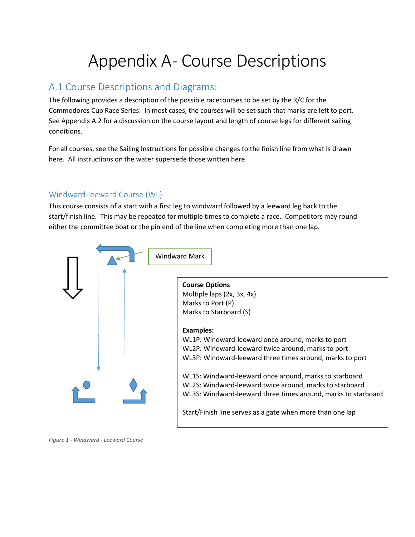# Appendix A- Course Descriptions

# A.1 Course Descriptions and Diagrams:

The following provides a description of the possible racecourses to be set by the R/C for the Commodores Cup Race Series. In most cases, the courses will be set such that marks are left to port. See Appendix A.2 for a discussion on the course layout and length of course legs for different sailing conditions.

For all courses, see the Sailing Instructions for possible changes to the finish line from what is drawn here. All instructions on the water supersede those written here.

## Windward-leeward Course (WL)

This course consists of a start with a first leg to windward followed by a leeward leg back to the start/finish line. This may be repeated for multiple times to complete a race. Competitors may round either the committee boat or the pin end of the line when completing more than one lap.



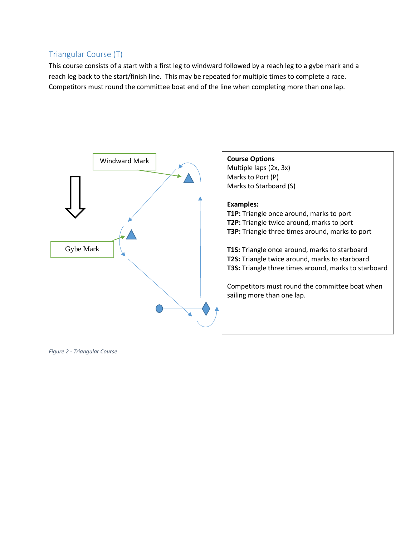## Triangular Course (T)

This course consists of a start with a first leg to windward followed by a reach leg to a gybe mark and a reach leg back to the start/finish line. This may be repeated for multiple times to complete a race. Competitors must round the committee boat end of the line when completing more than one lap.



*Figure 2 - Triangular Course*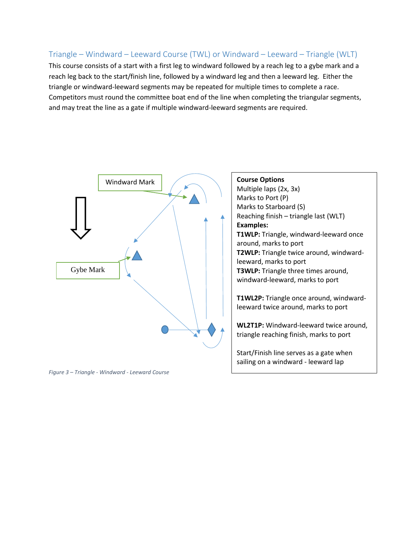### Triangle – Windward – Leeward Course (TWL) or Windward – Leeward – Triangle (WLT)

This course consists of a start with a first leg to windward followed by a reach leg to a gybe mark and a reach leg back to the start/finish line, followed by a windward leg and then a leeward leg. Either the triangle or windward-leeward segments may be repeated for multiple times to complete a race. Competitors must round the committee boat end of the line when completing the triangular segments, and may treat the line as a gate if multiple windward-leeward segments are required.



*Figure 3 – Triangle - Windward - Leeward Course*

**Course Options** Multiple laps (2x, 3x) Marks to Port (P) Marks to Starboard (S) Reaching finish – triangle last (WLT) **Examples: T1WLP:** Triangle, windward-leeward once around, marks to port **T2WLP:** Triangle twice around, windwardleeward, marks to port **T3WLP:** Triangle three times around, windward-leeward, marks to port

**T1WL2P:** Triangle once around, windwardleeward twice around, marks to port

**WL2T1P:** Windward-leeward twice around, triangle reaching finish, marks to port

Start/Finish line serves as a gate when sailing on a windward - leeward lap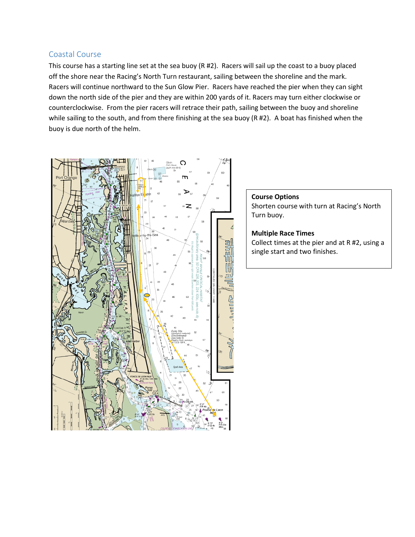#### Coastal Course

This course has a starting line set at the sea buoy (R #2). Racers will sail up the coast to a buoy placed off the shore near the Racing's North Turn restaurant, sailing between the shoreline and the mark. Racers will continue northward to the Sun Glow Pier. Racers have reached the pier when they can sight down the north side of the pier and they are within 200 yards of it. Racers may turn either clockwise or counterclockwise. From the pier racers will retrace their path, sailing between the buoy and shoreline while sailing to the south, and from there finishing at the sea buoy (R #2). A boat has finished when the buoy is due north of the helm.



#### **Course Options** Shorten course with turn at Racing's North Turn buoy.

#### **Multiple Race Times**

Collect times at the pier and at R #2, using a single start and two finishes.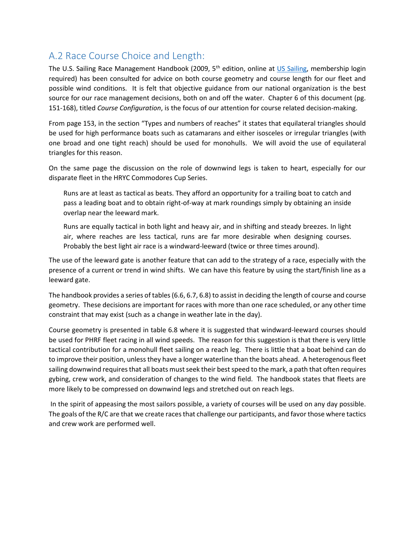# A.2 Race Course Choice and Length:

The U.S. Sailing Race Management Handbook (2009, 5<sup>th</sup> edition, online at [US Sailing,](http://www.ussailing.org/wp-content/uploads/DARoot/Race%20Admin/Race%20Officers/Documents/PDF/2009%20Race%20Management%20Handbook.pdf) membership login required) has been consulted for advice on both course geometry and course length for our fleet and possible wind conditions. It is felt that objective guidance from our national organization is the best source for our race management decisions, both on and off the water. Chapter 6 of this document (pg. 151-168), titled *Course Configuration*, is the focus of our attention for course related decision-making.

From page 153, in the section "Types and numbers of reaches" it states that equilateral triangles should be used for high performance boats such as catamarans and either isosceles or irregular triangles (with one broad and one tight reach) should be used for monohulls. We will avoid the use of equilateral triangles for this reason.

On the same page the discussion on the role of downwind legs is taken to heart, especially for our disparate fleet in the HRYC Commodores Cup Series.

Runs are at least as tactical as beats. They afford an opportunity for a trailing boat to catch and pass a leading boat and to obtain right-of-way at mark roundings simply by obtaining an inside overlap near the leeward mark.

Runs are equally tactical in both light and heavy air, and in shifting and steady breezes. In light air, where reaches are less tactical, runs are far more desirable when designing courses. Probably the best light air race is a windward-leeward (twice or three times around).

The use of the leeward gate is another feature that can add to the strategy of a race, especially with the presence of a current or trend in wind shifts. We can have this feature by using the start/finish line as a leeward gate.

The handbook provides a series of tables (6.6, 6.7, 6.8) to assist in deciding the length of course and course geometry. These decisions are important for races with more than one race scheduled, or any other time constraint that may exist (such as a change in weather late in the day).

Course geometry is presented in table 6.8 where it is suggested that windward-leeward courses should be used for PHRF fleet racing in all wind speeds. The reason for this suggestion is that there is very little tactical contribution for a monohull fleet sailing on a reach leg. There is little that a boat behind can do to improve their position, unless they have a longer waterline than the boats ahead. A heterogenous fleet sailing downwind requires that all boats must seek their best speed to the mark, a path that often requires gybing, crew work, and consideration of changes to the wind field. The handbook states that fleets are more likely to be compressed on downwind legs and stretched out on reach legs.

In the spirit of appeasing the most sailors possible, a variety of courses will be used on any day possible. The goals of the R/C are that we create races that challenge our participants, and favor those where tactics and crew work are performed well.